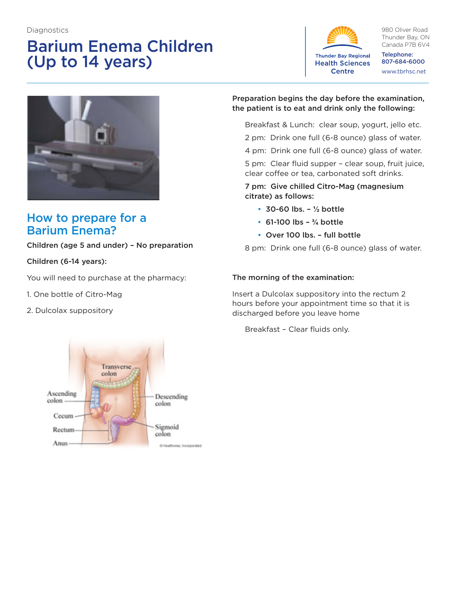#### **Diagnostics**

# Barium Enema Children (Up to 14 years)



980 Oliver Road Thunder Bay, ON Canada P7B 6V4

Telephone: 807-684-6000 www.tbrhsc.net



# How to prepare for a Barium Enema?

#### Children (age 5 and under) – No preparation

#### Children (6-14 years):

You will need to purchase at the pharmacy:

- 1. One bottle of Citro-Mag
- 2. Dulcolax suppository



#### Preparation begins the day before the examination, the patient is to eat and drink only the following:

- Breakfast & Lunch: clear soup, yogurt, jello etc.
- 2 pm: Drink one full (6-8 ounce) glass of water.
- 4 pm: Drink one full (6-8 ounce) glass of water.

5 pm: Clear fluid supper – clear soup, fruit juice, clear coffee or tea, carbonated soft drinks.

#### 7 pm: Give chilled Citro-Mag (magnesium citrate) as follows:

- 30-60 lbs. **½** bottle
- 61-100 lbs **¾** bottle
- Over 100 lbs. full bottle

8 pm: Drink one full (6-8 ounce) glass of water.

#### The morning of the examination:

Insert a Dulcolax suppository into the rectum 2 hours before your appointment time so that it is discharged before you leave home

Breakfast – Clear fluids only.